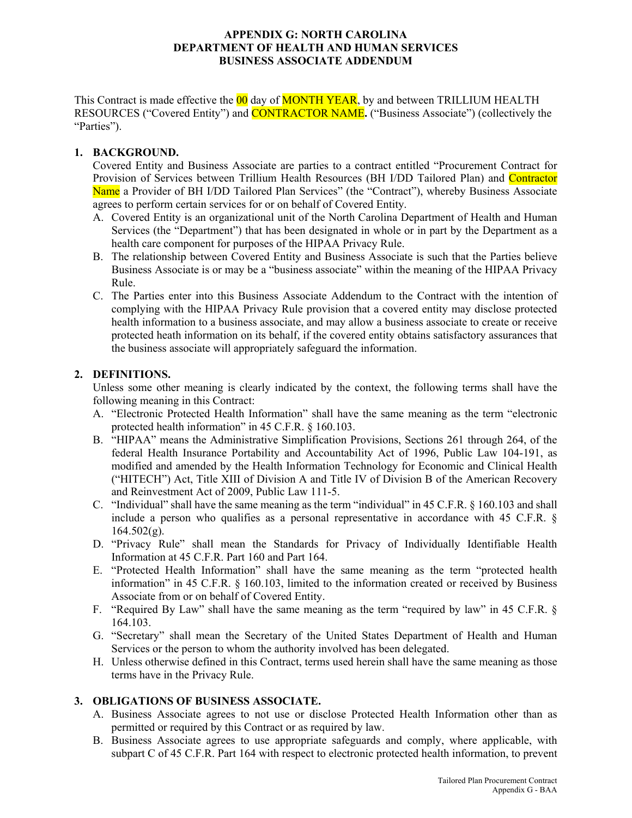#### **APPENDIX G: NORTH CAROLINA DEPARTMENT OF HEALTH AND HUMAN SERVICES BUSINESS ASSOCIATE ADDENDUM**

This Contract is made effective the 00 day of **MONTH YEAR**, by and between TRILLIUM HEALTH RESOURCES ("Covered Entity") and CONTRACTOR NAME**.** ("Business Associate") (collectively the "Parties").

## **1. BACKGROUND.**

Covered Entity and Business Associate are parties to a contract entitled "Procurement Contract for Provision of Services between Trillium Health Resources (BH I/DD Tailored Plan) and Contractor Name a Provider of BH I/DD Tailored Plan Services" (the "Contract"), whereby Business Associate agrees to perform certain services for or on behalf of Covered Entity.

- A. Covered Entity is an organizational unit of the North Carolina Department of Health and Human Services (the "Department") that has been designated in whole or in part by the Department as a health care component for purposes of the HIPAA Privacy Rule.
- B. The relationship between Covered Entity and Business Associate is such that the Parties believe Business Associate is or may be a "business associate" within the meaning of the HIPAA Privacy Rule.
- C. The Parties enter into this Business Associate Addendum to the Contract with the intention of complying with the HIPAA Privacy Rule provision that a covered entity may disclose protected health information to a business associate, and may allow a business associate to create or receive protected heath information on its behalf, if the covered entity obtains satisfactory assurances that the business associate will appropriately safeguard the information.

# **2. DEFINITIONS.**

Unless some other meaning is clearly indicated by the context, the following terms shall have the following meaning in this Contract:

- A. "Electronic Protected Health Information" shall have the same meaning as the term "electronic protected health information" in 45 C.F.R. § 160.103.
- B. "HIPAA" means the Administrative Simplification Provisions, Sections 261 through 264, of the federal Health Insurance Portability and Accountability Act of 1996, Public Law 104-191, as modified and amended by the Health Information Technology for Economic and Clinical Health ("HITECH") Act, Title XIII of Division A and Title IV of Division B of the American Recovery and Reinvestment Act of 2009, Public Law 111-5.
- C. "Individual" shall have the same meaning as the term "individual" in 45 C.F.R. § 160.103 and shall include a person who qualifies as a personal representative in accordance with 45 C.F.R. §  $164.502(g)$ .
- D. "Privacy Rule" shall mean the Standards for Privacy of Individually Identifiable Health Information at 45 C.F.R. Part 160 and Part 164.
- E. "Protected Health Information" shall have the same meaning as the term "protected health information" in 45 C.F.R. § 160.103, limited to the information created or received by Business Associate from or on behalf of Covered Entity.
- F. "Required By Law" shall have the same meaning as the term "required by law" in 45 C.F.R. § 164.103.
- G. "Secretary" shall mean the Secretary of the United States Department of Health and Human Services or the person to whom the authority involved has been delegated.
- H. Unless otherwise defined in this Contract, terms used herein shall have the same meaning as those terms have in the Privacy Rule.

## **3. OBLIGATIONS OF BUSINESS ASSOCIATE.**

- A. Business Associate agrees to not use or disclose Protected Health Information other than as permitted or required by this Contract or as required by law.
- B. Business Associate agrees to use appropriate safeguards and comply, where applicable, with subpart C of 45 C.F.R. Part 164 with respect to electronic protected health information, to prevent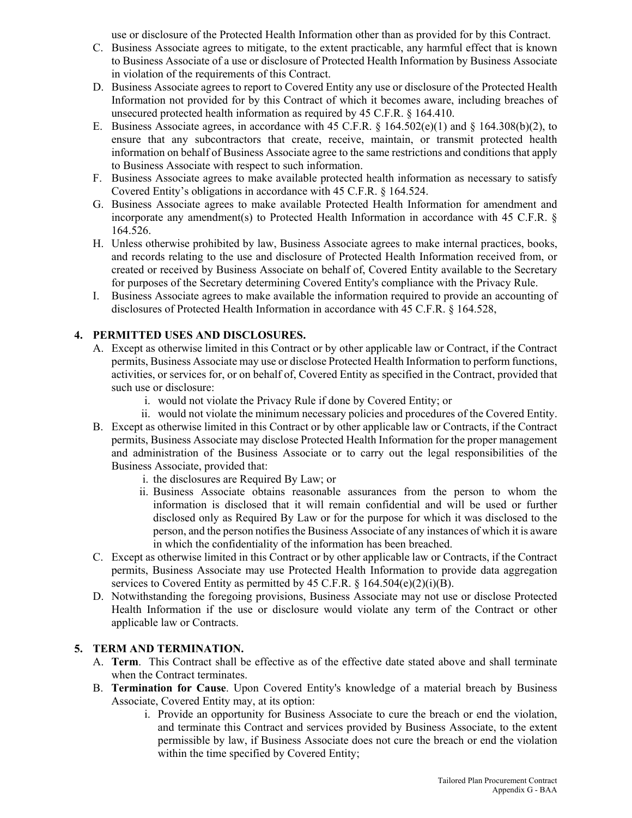use or disclosure of the Protected Health Information other than as provided for by this Contract.

- C. Business Associate agrees to mitigate, to the extent practicable, any harmful effect that is known to Business Associate of a use or disclosure of Protected Health Information by Business Associate in violation of the requirements of this Contract.
- D. Business Associate agrees to report to Covered Entity any use or disclosure of the Protected Health Information not provided for by this Contract of which it becomes aware, including breaches of unsecured protected health information as required by 45 C.F.R. § 164.410.
- E. Business Associate agrees, in accordance with 45 C.F.R. § 164.502(e)(1) and § 164.308(b)(2), to ensure that any subcontractors that create, receive, maintain, or transmit protected health information on behalf of Business Associate agree to the same restrictions and conditions that apply to Business Associate with respect to such information.
- F. Business Associate agrees to make available protected health information as necessary to satisfy Covered Entity's obligations in accordance with 45 C.F.R. § 164.524.
- G. Business Associate agrees to make available Protected Health Information for amendment and incorporate any amendment(s) to Protected Health Information in accordance with 45 C.F.R.  $\S$ 164.526.
- H. Unless otherwise prohibited by law, Business Associate agrees to make internal practices, books, and records relating to the use and disclosure of Protected Health Information received from, or created or received by Business Associate on behalf of, Covered Entity available to the Secretary for purposes of the Secretary determining Covered Entity's compliance with the Privacy Rule.
- I. Business Associate agrees to make available the information required to provide an accounting of disclosures of Protected Health Information in accordance with 45 C.F.R. § 164.528,

# **4. PERMITTED USES AND DISCLOSURES.**

- A. Except as otherwise limited in this Contract or by other applicable law or Contract, if the Contract permits, Business Associate may use or disclose Protected Health Information to perform functions, activities, or services for, or on behalf of, Covered Entity as specified in the Contract, provided that such use or disclosure:
	- i. would not violate the Privacy Rule if done by Covered Entity; or
	- ii. would not violate the minimum necessary policies and procedures of the Covered Entity.
- B. Except as otherwise limited in this Contract or by other applicable law or Contracts, if the Contract permits, Business Associate may disclose Protected Health Information for the proper management and administration of the Business Associate or to carry out the legal responsibilities of the Business Associate, provided that:
	- i. the disclosures are Required By Law; or
	- ii. Business Associate obtains reasonable assurances from the person to whom the information is disclosed that it will remain confidential and will be used or further disclosed only as Required By Law or for the purpose for which it was disclosed to the person, and the person notifies the Business Associate of any instances of which it is aware in which the confidentiality of the information has been breached.
- C. Except as otherwise limited in this Contract or by other applicable law or Contracts, if the Contract permits, Business Associate may use Protected Health Information to provide data aggregation services to Covered Entity as permitted by 45 C.F.R.  $\S$  164.504(e)(2)(i)(B).
- D. Notwithstanding the foregoing provisions, Business Associate may not use or disclose Protected Health Information if the use or disclosure would violate any term of the Contract or other applicable law or Contracts.

## **5. TERM AND TERMINATION.**

- A. **Term**. This Contract shall be effective as of the effective date stated above and shall terminate when the Contract terminates.
- B. **Termination for Cause**. Upon Covered Entity's knowledge of a material breach by Business Associate, Covered Entity may, at its option:
	- i. Provide an opportunity for Business Associate to cure the breach or end the violation, and terminate this Contract and services provided by Business Associate, to the extent permissible by law, if Business Associate does not cure the breach or end the violation within the time specified by Covered Entity;